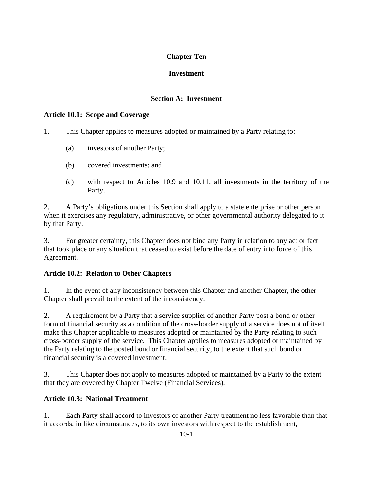# **Chapter Ten**

## **Investment**

# **Section A: Investment**

#### **Article 10.1: Scope and Coverage**

1. This Chapter applies to measures adopted or maintained by a Party relating to:

- (a) investors of another Party;
- (b) covered investments; and
- (c) with respect to Articles 10.9 and 10.11, all investments in the territory of the Party.

2. A Party's obligations under this Section shall apply to a state enterprise or other person when it exercises any regulatory, administrative, or other governmental authority delegated to it by that Party.

3. For greater certainty, this Chapter does not bind any Party in relation to any act or fact that took place or any situation that ceased to exist before the date of entry into force of this Agreement.

## **Article 10.2: Relation to Other Chapters**

1. In the event of any inconsistency between this Chapter and another Chapter, the other Chapter shall prevail to the extent of the inconsistency.

2. A requirement by a Party that a service supplier of another Party post a bond or other form of financial security as a condition of the cross-border supply of a service does not of itself make this Chapter applicable to measures adopted or maintained by the Party relating to such cross-border supply of the service. This Chapter applies to measures adopted or maintained by the Party relating to the posted bond or financial security, to the extent that such bond or financial security is a covered investment.

3. This Chapter does not apply to measures adopted or maintained by a Party to the extent that they are covered by Chapter Twelve (Financial Services).

# **Article 10.3: National Treatment**

1. Each Party shall accord to investors of another Party treatment no less favorable than that it accords, in like circumstances, to its own investors with respect to the establishment,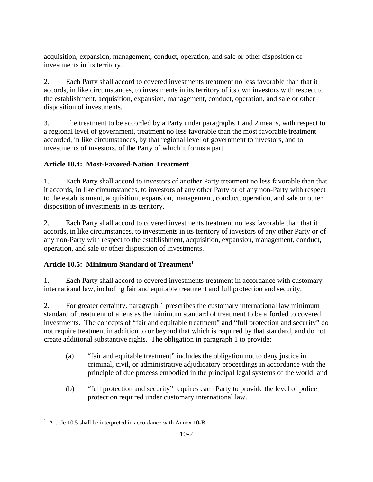acquisition, expansion, management, conduct, operation, and sale or other disposition of investments in its territory.

2. Each Party shall accord to covered investments treatment no less favorable than that it accords, in like circumstances, to investments in its territory of its own investors with respect to the establishment, acquisition, expansion, management, conduct, operation, and sale or other disposition of investments.

3. The treatment to be accorded by a Party under paragraphs 1 and 2 means, with respect to a regional level of government, treatment no less favorable than the most favorable treatment accorded, in like circumstances, by that regional level of government to investors, and to investments of investors, of the Party of which it forms a part.

# **Article 10.4: Most-Favored-Nation Treatment**

1. Each Party shall accord to investors of another Party treatment no less favorable than that it accords, in like circumstances, to investors of any other Party or of any non-Party with respect to the establishment, acquisition, expansion, management, conduct, operation, and sale or other disposition of investments in its territory.

2. Each Party shall accord to covered investments treatment no less favorable than that it accords, in like circumstances, to investments in its territory of investors of any other Party or of any non-Party with respect to the establishment, acquisition, expansion, management, conduct, operation, and sale or other disposition of investments.

# Article 10.5: Minimum Standard of Treatment<sup>1</sup>

1. Each Party shall accord to covered investments treatment in accordance with customary international law, including fair and equitable treatment and full protection and security.

2. For greater certainty, paragraph 1 prescribes the customary international law minimum standard of treatment of aliens as the minimum standard of treatment to be afforded to covered investments. The concepts of "fair and equitable treatment" and "full protection and security" do not require treatment in addition to or beyond that which is required by that standard, and do not create additional substantive rights. The obligation in paragraph 1 to provide:

- (a) "fair and equitable treatment" includes the obligation not to deny justice in criminal, civil, or administrative adjudicatory proceedings in accordance with the principle of due process embodied in the principal legal systems of the world; and
- (b) "full protection and security" requires each Party to provide the level of police protection required under customary international law.

1

<sup>&</sup>lt;sup>1</sup> Article 10.5 shall be interpreted in accordance with Annex 10-B.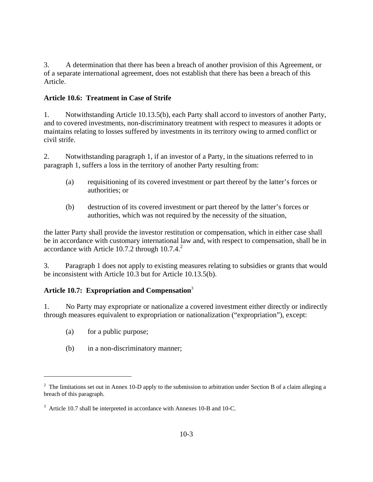3. A determination that there has been a breach of another provision of this Agreement, or of a separate international agreement, does not establish that there has been a breach of this Article.

# **Article 10.6: Treatment in Case of Strife**

1. Notwithstanding Article 10.13.5(b), each Party shall accord to investors of another Party, and to covered investments, non-discriminatory treatment with respect to measures it adopts or maintains relating to losses suffered by investments in its territory owing to armed conflict or civil strife.

2. Notwithstanding paragraph 1, if an investor of a Party, in the situations referred to in paragraph 1, suffers a loss in the territory of another Party resulting from:

- (a) requisitioning of its covered investment or part thereof by the latter's forces or authorities; or
- (b) destruction of its covered investment or part thereof by the latter's forces or authorities, which was not required by the necessity of the situation,

the latter Party shall provide the investor restitution or compensation, which in either case shall be in accordance with customary international law and, with respect to compensation, shall be in accordance with Article 10.7.2 through  $10.7.4<sup>2</sup>$ 

3. Paragraph 1 does not apply to existing measures relating to subsidies or grants that would be inconsistent with Article 10.3 but for Article 10.13.5(b).

# **Article 10.7: Expropriation and Compensation**<sup>3</sup>

1. No Party may expropriate or nationalize a covered investment either directly or indirectly through measures equivalent to expropriation or nationalization ("expropriation"), except:

(a) for a public purpose;

1

(b) in a non-discriminatory manner;

<sup>&</sup>lt;sup>2</sup> The limitations set out in Annex 10-D apply to the submission to arbitration under Section B of a claim alleging a breach of this paragraph.

<sup>&</sup>lt;sup>3</sup> Article 10.7 shall be interpreted in accordance with Annexes 10-B and 10-C.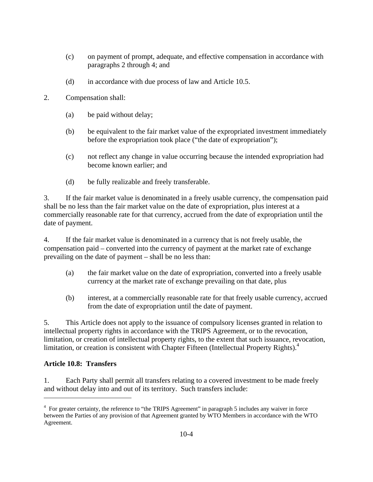- (c) on payment of prompt, adequate, and effective compensation in accordance with paragraphs 2 through 4; and
- (d) in accordance with due process of law and Article 10.5.
- 2. Compensation shall:
	- (a) be paid without delay;
	- (b) be equivalent to the fair market value of the expropriated investment immediately before the expropriation took place ("the date of expropriation");
	- (c) not reflect any change in value occurring because the intended expropriation had become known earlier; and
	- (d) be fully realizable and freely transferable.

3. If the fair market value is denominated in a freely usable currency, the compensation paid shall be no less than the fair market value on the date of expropriation, plus interest at a commercially reasonable rate for that currency, accrued from the date of expropriation until the date of payment.

4. If the fair market value is denominated in a currency that is not freely usable, the compensation paid – converted into the currency of payment at the market rate of exchange prevailing on the date of payment – shall be no less than:

- (a) the fair market value on the date of expropriation, converted into a freely usable currency at the market rate of exchange prevailing on that date, plus
- (b) interest, at a commercially reasonable rate for that freely usable currency, accrued from the date of expropriation until the date of payment.

5. This Article does not apply to the issuance of compulsory licenses granted in relation to intellectual property rights in accordance with the TRIPS Agreement, or to the revocation, limitation, or creation of intellectual property rights, to the extent that such issuance, revocation, limitation, or creation is consistent with Chapter Fifteen (Intellectual Property Rights).<sup>4</sup>

## **Article 10.8: Transfers**

 $\overline{a}$ 

1. Each Party shall permit all transfers relating to a covered investment to be made freely and without delay into and out of its territory. Such transfers include:

<sup>&</sup>lt;sup>4</sup> For greater certainty, the reference to "the TRIPS Agreement" in paragraph 5 includes any waiver in force between the Parties of any provision of that Agreement granted by WTO Members in accordance with the WTO Agreement.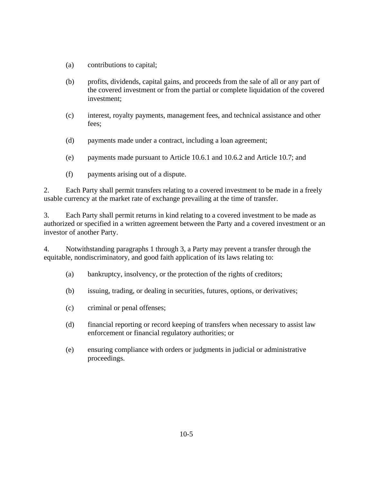- (a) contributions to capital;
- (b) profits, dividends, capital gains, and proceeds from the sale of all or any part of the covered investment or from the partial or complete liquidation of the covered investment;
- (c) interest, royalty payments, management fees, and technical assistance and other fees;
- (d) payments made under a contract, including a loan agreement;
- (e) payments made pursuant to Article 10.6.1 and 10.6.2 and Article 10.7; and
- (f) payments arising out of a dispute.

2. Each Party shall permit transfers relating to a covered investment to be made in a freely usable currency at the market rate of exchange prevailing at the time of transfer.

3. Each Party shall permit returns in kind relating to a covered investment to be made as authorized or specified in a written agreement between the Party and a covered investment or an investor of another Party.

4. Notwithstanding paragraphs 1 through 3, a Party may prevent a transfer through the equitable, nondiscriminatory, and good faith application of its laws relating to:

- (a) bankruptcy, insolvency, or the protection of the rights of creditors;
- (b) issuing, trading, or dealing in securities, futures, options, or derivatives;
- (c) criminal or penal offenses;
- (d) financial reporting or record keeping of transfers when necessary to assist law enforcement or financial regulatory authorities; or
- (e) ensuring compliance with orders or judgments in judicial or administrative proceedings.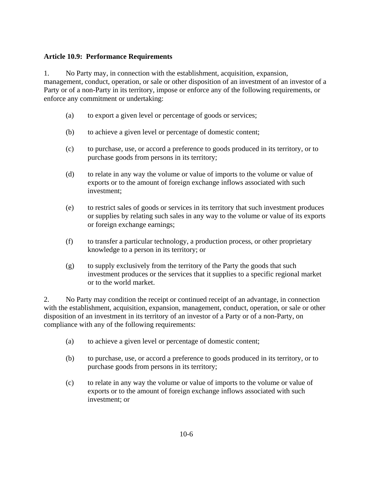#### **Article 10.9: Performance Requirements**

1. No Party may, in connection with the establishment, acquisition, expansion, management, conduct, operation, or sale or other disposition of an investment of an investor of a Party or of a non-Party in its territory, impose or enforce any of the following requirements, or enforce any commitment or undertaking:

- (a) to export a given level or percentage of goods or services;
- (b) to achieve a given level or percentage of domestic content;
- (c) to purchase, use, or accord a preference to goods produced in its territory, or to purchase goods from persons in its territory;
- (d) to relate in any way the volume or value of imports to the volume or value of exports or to the amount of foreign exchange inflows associated with such investment;
- (e) to restrict sales of goods or services in its territory that such investment produces or supplies by relating such sales in any way to the volume or value of its exports or foreign exchange earnings;
- (f) to transfer a particular technology, a production process, or other proprietary knowledge to a person in its territory; or
- (g) to supply exclusively from the territory of the Party the goods that such investment produces or the services that it supplies to a specific regional market or to the world market.

2. No Party may condition the receipt or continued receipt of an advantage, in connection with the establishment, acquisition, expansion, management, conduct, operation, or sale or other disposition of an investment in its territory of an investor of a Party or of a non-Party, on compliance with any of the following requirements:

- (a) to achieve a given level or percentage of domestic content;
- (b) to purchase, use, or accord a preference to goods produced in its territory, or to purchase goods from persons in its territory;
- (c) to relate in any way the volume or value of imports to the volume or value of exports or to the amount of foreign exchange inflows associated with such investment; or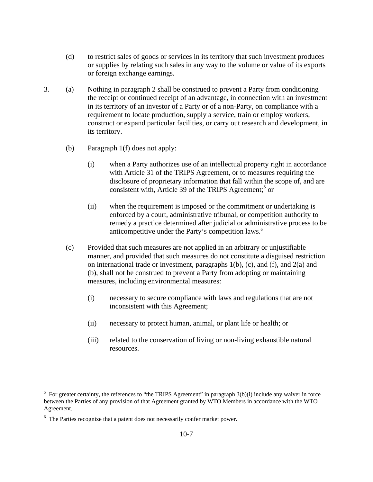- (d) to restrict sales of goods or services in its territory that such investment produces or supplies by relating such sales in any way to the volume or value of its exports or foreign exchange earnings.
- 3. (a) Nothing in paragraph 2 shall be construed to prevent a Party from conditioning the receipt or continued receipt of an advantage, in connection with an investment in its territory of an investor of a Party or of a non-Party, on compliance with a requirement to locate production, supply a service, train or employ workers, construct or expand particular facilities, or carry out research and development, in its territory.
	- (b) Paragraph 1(f) does not apply:
		- (i) when a Party authorizes use of an intellectual property right in accordance with Article 31 of the TRIPS Agreement, or to measures requiring the disclosure of proprietary information that fall within the scope of, and are consistent with, Article 39 of the TRIPS Agreement;<sup>5</sup> or
		- (ii) when the requirement is imposed or the commitment or undertaking is enforced by a court, administrative tribunal, or competition authority to remedy a practice determined after judicial or administrative process to be anticompetitive under the Party's competition laws.6
	- (c) Provided that such measures are not applied in an arbitrary or unjustifiable manner, and provided that such measures do not constitute a disguised restriction on international trade or investment, paragraphs 1(b), (c), and (f), and 2(a) and (b), shall not be construed to prevent a Party from adopting or maintaining measures, including environmental measures:
		- (i) necessary to secure compliance with laws and regulations that are not inconsistent with this Agreement;
		- (ii) necessary to protect human, animal, or plant life or health; or
		- (iii) related to the conservation of living or non-living exhaustible natural resources.

 $\overline{a}$ 

<sup>&</sup>lt;sup>5</sup> For greater certainty, the references to "the TRIPS Agreement" in paragraph  $3(b)(i)$  include any waiver in force between the Parties of any provision of that Agreement granted by WTO Members in accordance with the WTO Agreement.

<sup>&</sup>lt;sup>6</sup> The Parties recognize that a patent does not necessarily confer market power.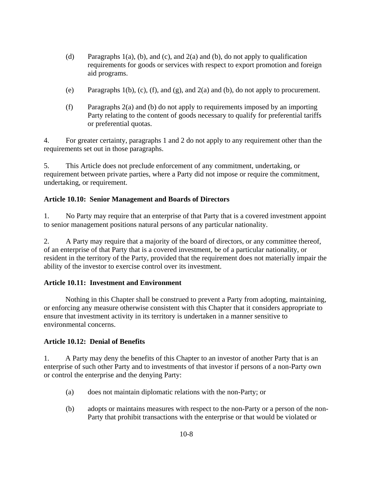- (d) Paragraphs 1(a), (b), and (c), and 2(a) and (b), do not apply to qualification requirements for goods or services with respect to export promotion and foreign aid programs.
- (e) Paragraphs 1(b), (c), (f), and (g), and 2(a) and (b), do not apply to procurement.
- (f) Paragraphs 2(a) and (b) do not apply to requirements imposed by an importing Party relating to the content of goods necessary to qualify for preferential tariffs or preferential quotas.

4. For greater certainty, paragraphs 1 and 2 do not apply to any requirement other than the requirements set out in those paragraphs.

5. This Article does not preclude enforcement of any commitment, undertaking, or requirement between private parties, where a Party did not impose or require the commitment, undertaking, or requirement.

## **Article 10.10: Senior Management and Boards of Directors**

1. No Party may require that an enterprise of that Party that is a covered investment appoint to senior management positions natural persons of any particular nationality.

2. A Party may require that a majority of the board of directors, or any committee thereof, of an enterprise of that Party that is a covered investment, be of a particular nationality, or resident in the territory of the Party, provided that the requirement does not materially impair the ability of the investor to exercise control over its investment.

#### **Article 10.11: Investment and Environment**

 Nothing in this Chapter shall be construed to prevent a Party from adopting, maintaining, or enforcing any measure otherwise consistent with this Chapter that it considers appropriate to ensure that investment activity in its territory is undertaken in a manner sensitive to environmental concerns.

## **Article 10.12: Denial of Benefits**

1. A Party may deny the benefits of this Chapter to an investor of another Party that is an enterprise of such other Party and to investments of that investor if persons of a non-Party own or control the enterprise and the denying Party:

- (a) does not maintain diplomatic relations with the non-Party; or
- (b) adopts or maintains measures with respect to the non-Party or a person of the non-Party that prohibit transactions with the enterprise or that would be violated or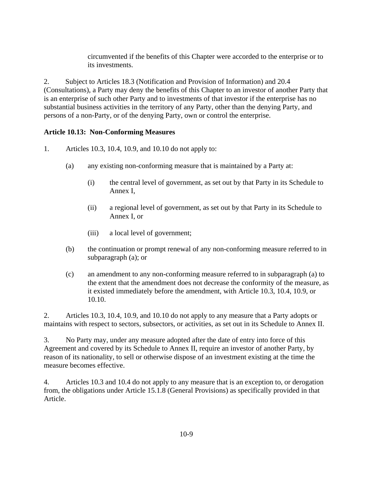circumvented if the benefits of this Chapter were accorded to the enterprise or to its investments.

2. Subject to Articles 18.3 (Notification and Provision of Information) and 20.4 (Consultations), a Party may deny the benefits of this Chapter to an investor of another Party that is an enterprise of such other Party and to investments of that investor if the enterprise has no substantial business activities in the territory of any Party, other than the denying Party, and persons of a non-Party, or of the denying Party, own or control the enterprise.

# **Article 10.13: Non-Conforming Measures**

1. Articles 10.3, 10.4, 10.9, and 10.10 do not apply to:

- (a) any existing non-conforming measure that is maintained by a Party at:
	- (i) the central level of government, as set out by that Party in its Schedule to Annex I,
	- (ii) a regional level of government, as set out by that Party in its Schedule to Annex I, or
	- (iii) a local level of government;
- (b) the continuation or prompt renewal of any non-conforming measure referred to in subparagraph (a); or
- (c) an amendment to any non-conforming measure referred to in subparagraph (a) to the extent that the amendment does not decrease the conformity of the measure, as it existed immediately before the amendment, with Article 10.3, 10.4, 10.9, or 10.10.

2. Articles 10.3, 10.4, 10.9, and 10.10 do not apply to any measure that a Party adopts or maintains with respect to sectors, subsectors, or activities, as set out in its Schedule to Annex II.

3. No Party may, under any measure adopted after the date of entry into force of this Agreement and covered by its Schedule to Annex II, require an investor of another Party, by reason of its nationality, to sell or otherwise dispose of an investment existing at the time the measure becomes effective.

4. Articles 10.3 and 10.4 do not apply to any measure that is an exception to, or derogation from, the obligations under Article 15.1.8 (General Provisions) as specifically provided in that Article.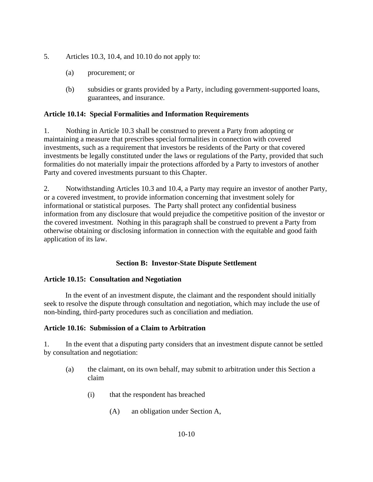- 5. Articles 10.3, 10.4, and 10.10 do not apply to:
	- (a) procurement; or
	- (b) subsidies or grants provided by a Party, including government-supported loans, guarantees, and insurance.

#### **Article 10.14: Special Formalities and Information Requirements**

1. Nothing in Article 10.3 shall be construed to prevent a Party from adopting or maintaining a measure that prescribes special formalities in connection with covered investments, such as a requirement that investors be residents of the Party or that covered investments be legally constituted under the laws or regulations of the Party, provided that such formalities do not materially impair the protections afforded by a Party to investors of another Party and covered investments pursuant to this Chapter.

2. Notwithstanding Articles 10.3 and 10.4, a Party may require an investor of another Party, or a covered investment, to provide information concerning that investment solely for informational or statistical purposes. The Party shall protect any confidential business information from any disclosure that would prejudice the competitive position of the investor or the covered investment. Nothing in this paragraph shall be construed to prevent a Party from otherwise obtaining or disclosing information in connection with the equitable and good faith application of its law.

## **Section B: Investor-State Dispute Settlement**

#### **Article 10.15: Consultation and Negotiation**

 In the event of an investment dispute, the claimant and the respondent should initially seek to resolve the dispute through consultation and negotiation, which may include the use of non-binding, third-party procedures such as conciliation and mediation.

#### **Article 10.16: Submission of a Claim to Arbitration**

1. In the event that a disputing party considers that an investment dispute cannot be settled by consultation and negotiation:

- (a) the claimant, on its own behalf, may submit to arbitration under this Section a claim
	- (i) that the respondent has breached
		- (A) an obligation under Section A,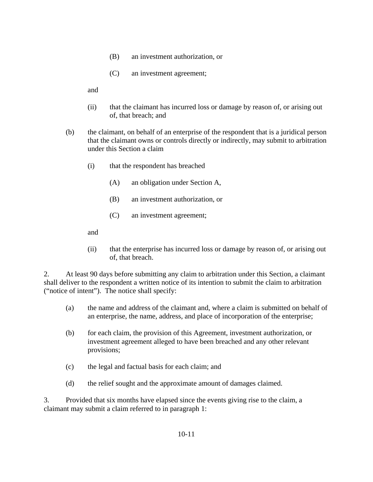- (B) an investment authorization, or
- (C) an investment agreement;

and

- (ii) that the claimant has incurred loss or damage by reason of, or arising out of, that breach; and
- (b) the claimant, on behalf of an enterprise of the respondent that is a juridical person that the claimant owns or controls directly or indirectly, may submit to arbitration under this Section a claim
	- (i) that the respondent has breached
		- (A) an obligation under Section A,
		- (B) an investment authorization, or
		- (C) an investment agreement;

and

(ii) that the enterprise has incurred loss or damage by reason of, or arising out of, that breach.

2. At least 90 days before submitting any claim to arbitration under this Section, a claimant shall deliver to the respondent a written notice of its intention to submit the claim to arbitration ("notice of intent"). The notice shall specify:

- (a) the name and address of the claimant and, where a claim is submitted on behalf of an enterprise, the name, address, and place of incorporation of the enterprise;
- (b) for each claim, the provision of this Agreement, investment authorization, or investment agreement alleged to have been breached and any other relevant provisions;
- (c) the legal and factual basis for each claim; and
- (d) the relief sought and the approximate amount of damages claimed.

3. Provided that six months have elapsed since the events giving rise to the claim, a claimant may submit a claim referred to in paragraph 1: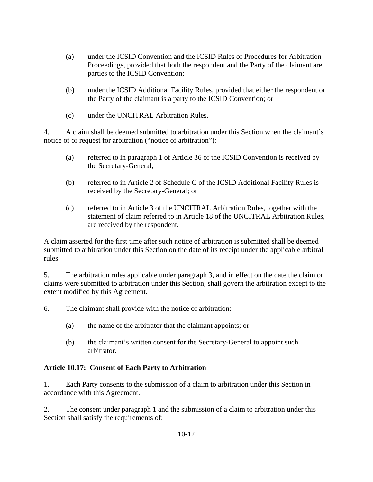- (a) under the ICSID Convention and the ICSID Rules of Procedures for Arbitration Proceedings, provided that both the respondent and the Party of the claimant are parties to the ICSID Convention;
- (b) under the ICSID Additional Facility Rules, provided that either the respondent or the Party of the claimant is a party to the ICSID Convention; or
- (c) under the UNCITRAL Arbitration Rules.

4. A claim shall be deemed submitted to arbitration under this Section when the claimant's notice of or request for arbitration ("notice of arbitration"):

- (a) referred to in paragraph 1 of Article 36 of the ICSID Convention is received by the Secretary-General;
- (b) referred to in Article 2 of Schedule C of the ICSID Additional Facility Rules is received by the Secretary-General; or
- (c) referred to in Article 3 of the UNCITRAL Arbitration Rules, together with the statement of claim referred to in Article 18 of the UNCITRAL Arbitration Rules, are received by the respondent.

A claim asserted for the first time after such notice of arbitration is submitted shall be deemed submitted to arbitration under this Section on the date of its receipt under the applicable arbitral rules.

5. The arbitration rules applicable under paragraph 3, and in effect on the date the claim or claims were submitted to arbitration under this Section, shall govern the arbitration except to the extent modified by this Agreement.

- 6. The claimant shall provide with the notice of arbitration:
	- (a) the name of the arbitrator that the claimant appoints; or
	- (b) the claimant's written consent for the Secretary-General to appoint such arbitrator.

# **Article 10.17: Consent of Each Party to Arbitration**

1. Each Party consents to the submission of a claim to arbitration under this Section in accordance with this Agreement.

2. The consent under paragraph 1 and the submission of a claim to arbitration under this Section shall satisfy the requirements of: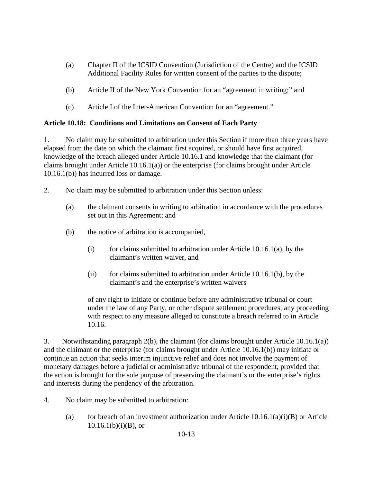- (a) Chapter II of the ICSID Convention (Jurisdiction of the Centre) and the ICSID Additional Facility Rules for written consent of the parties to the dispute;
- (b) Article II of the New York Convention for an "agreement in writing;" and
- (c) Article I of the Inter-American Convention for an "agreement."

# **Article 10.18: Conditions and Limitations on Consent of Each Party**

1. No claim may be submitted to arbitration under this Section if more than three years have elapsed from the date on which the claimant first acquired, or should have first acquired, knowledge of the breach alleged under Article 10.16.1 and knowledge that the claimant (for claims brought under Article 10.16.1(a)) or the enterprise (for claims brought under Article 10.16.1(b)) has incurred loss or damage.

- 2. No claim may be submitted to arbitration under this Section unless:
	- (a) the claimant consents in writing to arbitration in accordance with the procedures set out in this Agreement; and
	- (b) the notice of arbitration is accompanied,
		- (i) for claims submitted to arbitration under Article  $10.16.1(a)$ , by the claimant's written waiver, and
		- (ii) for claims submitted to arbitration under Article  $10.16.1(b)$ , by the claimant's and the enterprise's written waivers

of any right to initiate or continue before any administrative tribunal or court under the law of any Party, or other dispute settlement procedures, any proceeding with respect to any measure alleged to constitute a breach referred to in Article 10.16.

3. Notwithstanding paragraph 2(b), the claimant (for claims brought under Article 10.16.1(a)) and the claimant or the enterprise (for claims brought under Article 10.16.1(b)) may initiate or continue an action that seeks interim injunctive relief and does not involve the payment of monetary damages before a judicial or administrative tribunal of the respondent, provided that the action is brought for the sole purpose of preserving the claimant's or the enterprise's rights and interests during the pendency of the arbitration.

- 4. No claim may be submitted to arbitration:
	- (a) for breach of an investment authorization under Article  $10.16.1(a)(i)(B)$  or Article  $10.16.1(b)(i)(B)$ , or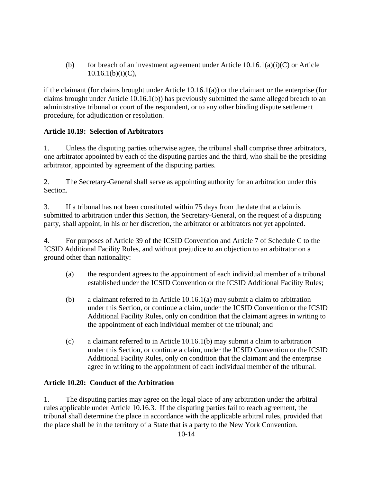(b) for breach of an investment agreement under Article  $10.16.1(a)(i)(C)$  or Article  $10.16.1(b)(i)(C)$ ,

if the claimant (for claims brought under Article 10.16.1(a)) or the claimant or the enterprise (for claims brought under Article 10.16.1(b)) has previously submitted the same alleged breach to an administrative tribunal or court of the respondent, or to any other binding dispute settlement procedure, for adjudication or resolution.

# **Article 10.19: Selection of Arbitrators**

1. Unless the disputing parties otherwise agree, the tribunal shall comprise three arbitrators, one arbitrator appointed by each of the disputing parties and the third, who shall be the presiding arbitrator, appointed by agreement of the disputing parties.

2. The Secretary-General shall serve as appointing authority for an arbitration under this Section.

3. If a tribunal has not been constituted within 75 days from the date that a claim is submitted to arbitration under this Section, the Secretary-General, on the request of a disputing party, shall appoint, in his or her discretion, the arbitrator or arbitrators not yet appointed.

4. For purposes of Article 39 of the ICSID Convention and Article 7 of Schedule C to the ICSID Additional Facility Rules, and without prejudice to an objection to an arbitrator on a ground other than nationality:

- (a) the respondent agrees to the appointment of each individual member of a tribunal established under the ICSID Convention or the ICSID Additional Facility Rules;
- (b) a claimant referred to in Article 10.16.1(a) may submit a claim to arbitration under this Section, or continue a claim, under the ICSID Convention or the ICSID Additional Facility Rules, only on condition that the claimant agrees in writing to the appointment of each individual member of the tribunal; and
- (c) a claimant referred to in Article 10.16.1(b) may submit a claim to arbitration under this Section, or continue a claim, under the ICSID Convention or the ICSID Additional Facility Rules, only on condition that the claimant and the enterprise agree in writing to the appointment of each individual member of the tribunal.

## **Article 10.20: Conduct of the Arbitration**

1. The disputing parties may agree on the legal place of any arbitration under the arbitral rules applicable under Article 10.16.3. If the disputing parties fail to reach agreement, the tribunal shall determine the place in accordance with the applicable arbitral rules, provided that the place shall be in the territory of a State that is a party to the New York Convention.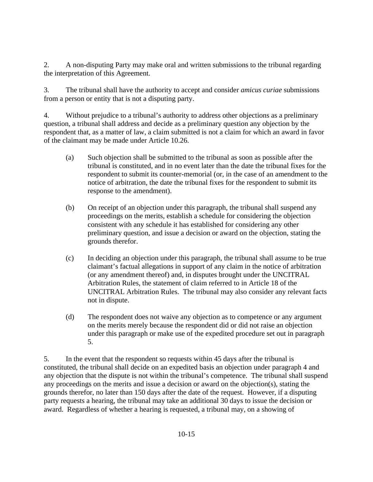2. A non-disputing Party may make oral and written submissions to the tribunal regarding the interpretation of this Agreement.

3. The tribunal shall have the authority to accept and consider *amicus curiae* submissions from a person or entity that is not a disputing party.

4. Without prejudice to a tribunal's authority to address other objections as a preliminary question, a tribunal shall address and decide as a preliminary question any objection by the respondent that, as a matter of law, a claim submitted is not a claim for which an award in favor of the claimant may be made under Article 10.26.

- (a) Such objection shall be submitted to the tribunal as soon as possible after the tribunal is constituted, and in no event later than the date the tribunal fixes for the respondent to submit its counter-memorial (or, in the case of an amendment to the notice of arbitration, the date the tribunal fixes for the respondent to submit its response to the amendment).
- (b) On receipt of an objection under this paragraph, the tribunal shall suspend any proceedings on the merits, establish a schedule for considering the objection consistent with any schedule it has established for considering any other preliminary question, and issue a decision or award on the objection, stating the grounds therefor.
- (c) In deciding an objection under this paragraph, the tribunal shall assume to be true claimant's factual allegations in support of any claim in the notice of arbitration (or any amendment thereof) and, in disputes brought under the UNCITRAL Arbitration Rules, the statement of claim referred to in Article 18 of the UNCITRAL Arbitration Rules. The tribunal may also consider any relevant facts not in dispute.
- (d) The respondent does not waive any objection as to competence or any argument on the merits merely because the respondent did or did not raise an objection under this paragraph or make use of the expedited procedure set out in paragraph 5.

5. In the event that the respondent so requests within 45 days after the tribunal is constituted, the tribunal shall decide on an expedited basis an objection under paragraph 4 and any objection that the dispute is not within the tribunal's competence. The tribunal shall suspend any proceedings on the merits and issue a decision or award on the objection(s), stating the grounds therefor, no later than 150 days after the date of the request. However, if a disputing party requests a hearing, the tribunal may take an additional 30 days to issue the decision or award. Regardless of whether a hearing is requested, a tribunal may, on a showing of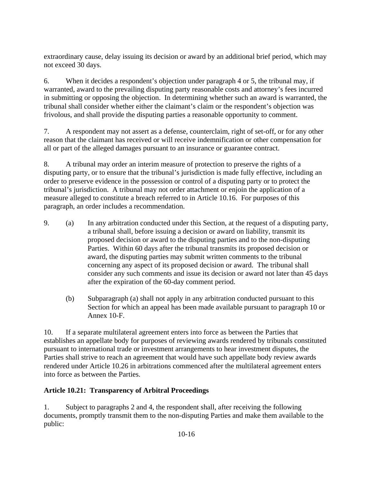extraordinary cause, delay issuing its decision or award by an additional brief period, which may not exceed 30 days.

6. When it decides a respondent's objection under paragraph 4 or 5, the tribunal may, if warranted, award to the prevailing disputing party reasonable costs and attorney's fees incurred in submitting or opposing the objection. In determining whether such an award is warranted, the tribunal shall consider whether either the claimant's claim or the respondent's objection was frivolous, and shall provide the disputing parties a reasonable opportunity to comment.

7. A respondent may not assert as a defense, counterclaim, right of set-off, or for any other reason that the claimant has received or will receive indemnification or other compensation for all or part of the alleged damages pursuant to an insurance or guarantee contract.

8. A tribunal may order an interim measure of protection to preserve the rights of a disputing party, or to ensure that the tribunal's jurisdiction is made fully effective, including an order to preserve evidence in the possession or control of a disputing party or to protect the tribunal's jurisdiction. A tribunal may not order attachment or enjoin the application of a measure alleged to constitute a breach referred to in Article 10.16. For purposes of this paragraph, an order includes a recommendation.

- 9. (a) In any arbitration conducted under this Section, at the request of a disputing party, a tribunal shall, before issuing a decision or award on liability, transmit its proposed decision or award to the disputing parties and to the non-disputing Parties. Within 60 days after the tribunal transmits its proposed decision or award, the disputing parties may submit written comments to the tribunal concerning any aspect of its proposed decision or award. The tribunal shall consider any such comments and issue its decision or award not later than 45 days after the expiration of the 60-day comment period.
	- (b) Subparagraph (a) shall not apply in any arbitration conducted pursuant to this Section for which an appeal has been made available pursuant to paragraph 10 or Annex 10-F.

10. If a separate multilateral agreement enters into force as between the Parties that establishes an appellate body for purposes of reviewing awards rendered by tribunals constituted pursuant to international trade or investment arrangements to hear investment disputes, the Parties shall strive to reach an agreement that would have such appellate body review awards rendered under Article 10.26 in arbitrations commenced after the multilateral agreement enters into force as between the Parties.

# **Article 10.21: Transparency of Arbitral Proceedings**

1. Subject to paragraphs 2 and 4, the respondent shall, after receiving the following documents, promptly transmit them to the non-disputing Parties and make them available to the public: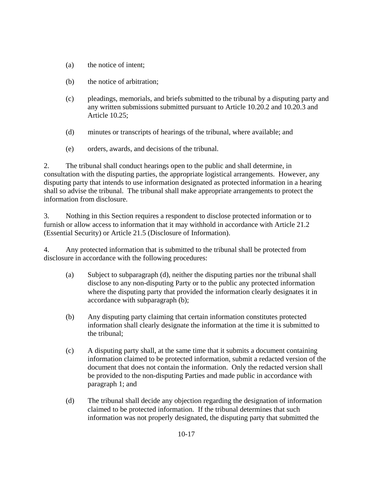- (a) the notice of intent;
- (b) the notice of arbitration;
- (c) pleadings, memorials, and briefs submitted to the tribunal by a disputing party and any written submissions submitted pursuant to Article 10.20.2 and 10.20.3 and Article 10.25;
- (d) minutes or transcripts of hearings of the tribunal, where available; and
- (e) orders, awards, and decisions of the tribunal.

2. The tribunal shall conduct hearings open to the public and shall determine, in consultation with the disputing parties, the appropriate logistical arrangements.However, any disputing party that intends to use information designated as protected information in a hearing shall so advise the tribunal. The tribunal shall make appropriate arrangements to protect the information from disclosure.

3. Nothing in this Section requires a respondent to disclose protected information or to furnish or allow access to information that it may withhold in accordance with Article 21.2 (Essential Security) or Article 21.5 (Disclosure of Information).

4. Any protected information that is submitted to the tribunal shall be protected from disclosure in accordance with the following procedures:

- (a) Subject to subparagraph (d), neither the disputing parties nor the tribunal shall disclose to any non-disputing Party or to the public any protected information where the disputing party that provided the information clearly designates it in accordance with subparagraph (b);
- (b) Any disputing party claiming that certain information constitutes protected information shall clearly designate the information at the time it is submitted to the tribunal;
- (c) A disputing party shall, at the same time that it submits a document containing information claimed to be protected information, submit a redacted version of the document that does not contain the information. Only the redacted version shall be provided to the non-disputing Parties and made public in accordance with paragraph 1; and
- (d) The tribunal shall decide any objection regarding the designation of information claimed to be protected information. If the tribunal determines that such information was not properly designated, the disputing party that submitted the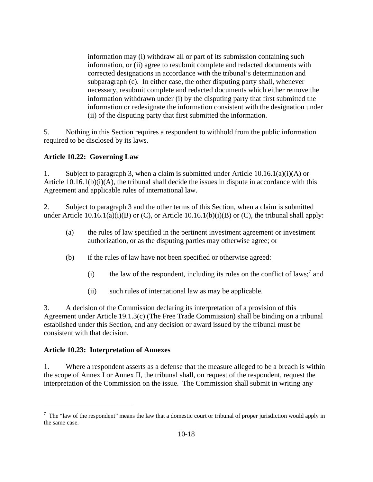information may (i) withdraw all or part of its submission containing such information, or (ii) agree to resubmit complete and redacted documents with corrected designations in accordance with the tribunal's determination and subparagraph (c). In either case, the other disputing party shall, whenever necessary, resubmit complete and redacted documents which either remove the information withdrawn under (i) by the disputing party that first submitted the information or redesignate the information consistent with the designation under (ii) of the disputing party that first submitted the information.

5. Nothing in this Section requires a respondent to withhold from the public information required to be disclosed by its laws.

# **Article 10.22: Governing Law**

1. Subject to paragraph 3, when a claim is submitted under Article 10.16.1(a)(i)(A) or Article 10.16.1(b)(i)(A), the tribunal shall decide the issues in dispute in accordance with this Agreement and applicable rules of international law.

2. Subject to paragraph 3 and the other terms of this Section, when a claim is submitted under Article 10.16.1(a)(i)(B) or (C), or Article 10.16.1(b)(i)(B) or (C), the tribunal shall apply:

- (a) the rules of law specified in the pertinent investment agreement or investment authorization, or as the disputing parties may otherwise agree; or
- (b) if the rules of law have not been specified or otherwise agreed:
	- (i) the law of the respondent, including its rules on the conflict of laws;<sup>7</sup> and
	- (ii) such rules of international law as may be applicable.

3. A decision of the Commission declaring its interpretation of a provision of this Agreement under Article 19.1.3(c) (The Free Trade Commission) shall be binding on a tribunal established under this Section, and any decision or award issued by the tribunal must be consistent with that decision.

## **Article 10.23: Interpretation of Annexes**

 $\overline{a}$ 

1. Where a respondent asserts as a defense that the measure alleged to be a breach is within the scope of Annex I or Annex II, the tribunal shall, on request of the respondent, request the interpretation of the Commission on the issue. The Commission shall submit in writing any

 $<sup>7</sup>$  The "law of the respondent" means the law that a domestic court or tribunal of proper jurisdiction would apply in</sup> the same case.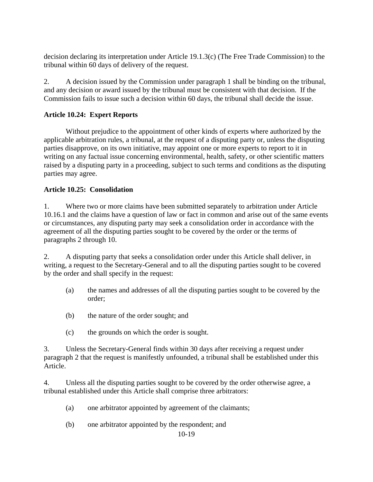decision declaring its interpretation under Article 19.1.3(c) (The Free Trade Commission) to the tribunal within 60 days of delivery of the request.

2. A decision issued by the Commission under paragraph 1 shall be binding on the tribunal, and any decision or award issued by the tribunal must be consistent with that decision. If the Commission fails to issue such a decision within 60 days, the tribunal shall decide the issue.

# **Article 10.24: Expert Reports**

 Without prejudice to the appointment of other kinds of experts where authorized by the applicable arbitration rules, a tribunal, at the request of a disputing party or, unless the disputing parties disapprove, on its own initiative, may appoint one or more experts to report to it in writing on any factual issue concerning environmental, health, safety, or other scientific matters raised by a disputing party in a proceeding, subject to such terms and conditions as the disputing parties may agree.

#### **Article 10.25: Consolidation**

1. Where two or more claims have been submitted separately to arbitration under Article 10.16.1 and the claims have a question of law or fact in common and arise out of the same events or circumstances, any disputing party may seek a consolidation order in accordance with the agreement of all the disputing parties sought to be covered by the order or the terms of paragraphs 2 through 10.

2. A disputing party that seeks a consolidation order under this Article shall deliver, in writing, a request to the Secretary-General and to all the disputing parties sought to be covered by the order and shall specify in the request:

- (a) the names and addresses of all the disputing parties sought to be covered by the order;
- (b) the nature of the order sought; and
- (c) the grounds on which the order is sought.

3. Unless the Secretary-General finds within 30 days after receiving a request under paragraph 2 that the request is manifestly unfounded, a tribunal shall be established under this Article.

4. Unless all the disputing parties sought to be covered by the order otherwise agree, a tribunal established under this Article shall comprise three arbitrators:

- (a) one arbitrator appointed by agreement of the claimants;
- (b) one arbitrator appointed by the respondent; and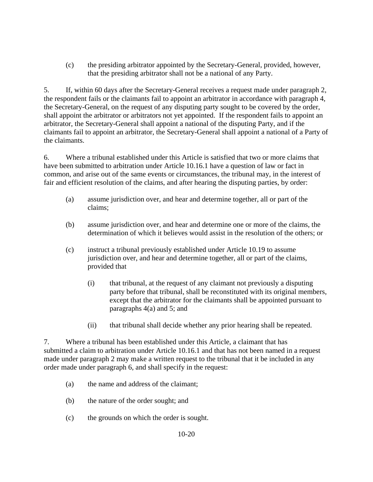(c) the presiding arbitrator appointed by the Secretary-General, provided, however, that the presiding arbitrator shall not be a national of any Party.

5. If, within 60 days after the Secretary-General receives a request made under paragraph 2, the respondent fails or the claimants fail to appoint an arbitrator in accordance with paragraph 4, the Secretary-General, on the request of any disputing party sought to be covered by the order, shall appoint the arbitrator or arbitrators not yet appointed. If the respondent fails to appoint an arbitrator, the Secretary-General shall appoint a national of the disputing Party, and if the claimants fail to appoint an arbitrator, the Secretary-General shall appoint a national of a Party of the claimants.

6. Where a tribunal established under this Article is satisfied that two or more claims that have been submitted to arbitration under Article 10.16.1 have a question of law or fact in common, and arise out of the same events or circumstances, the tribunal may, in the interest of fair and efficient resolution of the claims, and after hearing the disputing parties, by order:

- (a) assume jurisdiction over, and hear and determine together, all or part of the claims;
- (b) assume jurisdiction over, and hear and determine one or more of the claims, the determination of which it believes would assist in the resolution of the others; or
- (c) instruct a tribunal previously established under Article 10.19 to assume jurisdiction over, and hear and determine together, all or part of the claims, provided that
	- (i) that tribunal, at the request of any claimant not previously a disputing party before that tribunal, shall be reconstituted with its original members, except that the arbitrator for the claimants shall be appointed pursuant to paragraphs  $4(a)$  and 5; and
	- (ii) that tribunal shall decide whether any prior hearing shall be repeated.

7. Where a tribunal has been established under this Article, a claimant that has submitted a claim to arbitration under Article 10.16.1 and that has not been named in a request made under paragraph 2 may make a written request to the tribunal that it be included in any order made under paragraph 6, and shall specify in the request:

- (a) the name and address of the claimant;
- (b) the nature of the order sought; and
- (c) the grounds on which the order is sought.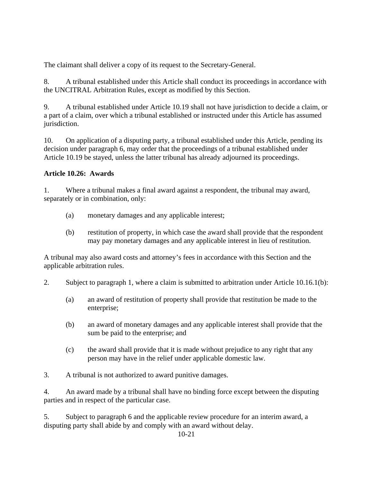The claimant shall deliver a copy of its request to the Secretary-General.

8. A tribunal established under this Article shall conduct its proceedings in accordance with the UNCITRAL Arbitration Rules, except as modified by this Section.

9. A tribunal established under Article 10.19 shall not have jurisdiction to decide a claim, or a part of a claim, over which a tribunal established or instructed under this Article has assumed jurisdiction.

10. On application of a disputing party, a tribunal established under this Article, pending its decision under paragraph 6, may order that the proceedings of a tribunal established under Article 10.19 be stayed, unless the latter tribunal has already adjourned its proceedings.

# **Article 10.26: Awards**

1. Where a tribunal makes a final award against a respondent, the tribunal may award, separately or in combination, only:

- (a) monetary damages and any applicable interest;
- (b) restitution of property, in which case the award shall provide that the respondent may pay monetary damages and any applicable interest in lieu of restitution.

A tribunal may also award costs and attorney's fees in accordance with this Section and the applicable arbitration rules.

- 2. Subject to paragraph 1, where a claim is submitted to arbitration under Article 10.16.1(b):
	- (a) an award of restitution of property shall provide that restitution be made to the enterprise;
	- (b) an award of monetary damages and any applicable interest shall provide that the sum be paid to the enterprise; and
	- (c) the award shall provide that it is made without prejudice to any right that any person may have in the relief under applicable domestic law.

3. A tribunal is not authorized to award punitive damages.

4. An award made by a tribunal shall have no binding force except between the disputing parties and in respect of the particular case.

5. Subject to paragraph 6 and the applicable review procedure for an interim award, a disputing party shall abide by and comply with an award without delay.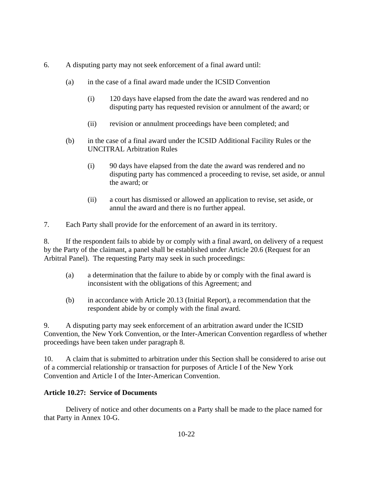- 6. A disputing party may not seek enforcement of a final award until:
	- (a) in the case of a final award made under the ICSID Convention
		- (i) 120 days have elapsed from the date the award was rendered and no disputing party has requested revision or annulment of the award; or
		- (ii) revision or annulment proceedings have been completed; and
	- (b) in the case of a final award under the ICSID Additional Facility Rules or the UNCITRAL Arbitration Rules
		- (i) 90 days have elapsed from the date the award was rendered and no disputing party has commenced a proceeding to revise, set aside, or annul the award; or
		- (ii) a court has dismissed or allowed an application to revise, set aside, or annul the award and there is no further appeal.
- 7. Each Party shall provide for the enforcement of an award in its territory.

8. If the respondent fails to abide by or comply with a final award, on delivery of a request by the Party of the claimant, a panel shall be established under Article 20.6 (Request for an Arbitral Panel). The requesting Party may seek in such proceedings:

- (a) a determination that the failure to abide by or comply with the final award is inconsistent with the obligations of this Agreement; and
- (b) in accordance with Article 20.13 (Initial Report), a recommendation that the respondent abide by or comply with the final award.

9. A disputing party may seek enforcement of an arbitration award under the ICSID Convention, the New York Convention, or the Inter-American Convention regardless of whether proceedings have been taken under paragraph 8.

10. A claim that is submitted to arbitration under this Section shall be considered to arise out of a commercial relationship or transaction for purposes of Article I of the New York Convention and Article I of the Inter-American Convention.

# **Article 10.27: Service of Documents**

 Delivery of notice and other documents on a Party shall be made to the place named for that Party in Annex 10-G.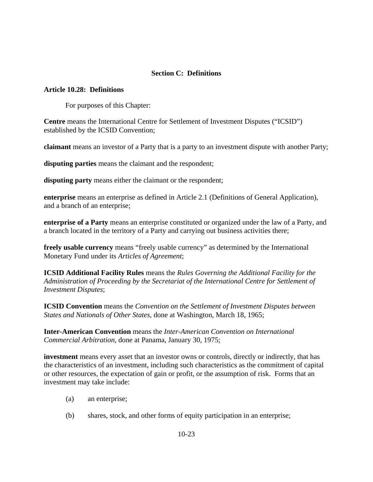# **Section C: Definitions**

#### **Article 10.28: Definitions**

For purposes of this Chapter:

**Centre** means the International Centre for Settlement of Investment Disputes ("ICSID") established by the ICSID Convention;

**claimant** means an investor of a Party that is a party to an investment dispute with another Party;

**disputing parties** means the claimant and the respondent;

**disputing party** means either the claimant or the respondent;

**enterprise** means an enterprise as defined in Article 2.1 (Definitions of General Application), and a branch of an enterprise;

**enterprise of a Party** means an enterprise constituted or organized under the law of a Party, and a branch located in the territory of a Party and carrying out business activities there;

**freely usable currency** means "freely usable currency" as determined by the International Monetary Fund under its *Articles of Agreement*;

**ICSID Additional Facility Rules** means the *Rules Governing the Additional Facility for the Administration of Proceeding by the Secretariat of the International Centre for Settlement of Investment Disputes*;

**ICSID Convention** means the *Convention on the Settlement of Investment Disputes between States and Nationals of Other States,* done at Washington, March 18, 1965;

**Inter-American Convention** means the *Inter-American Convention on International Commercial Arbitration,* done at Panama, January 30, 1975;

**investment** means every asset that an investor owns or controls, directly or indirectly, that has the characteristics of an investment, including such characteristics as the commitment of capital or other resources, the expectation of gain or profit, or the assumption of risk. Forms that an investment may take include:

- (a) an enterprise;
- (b) shares, stock, and other forms of equity participation in an enterprise;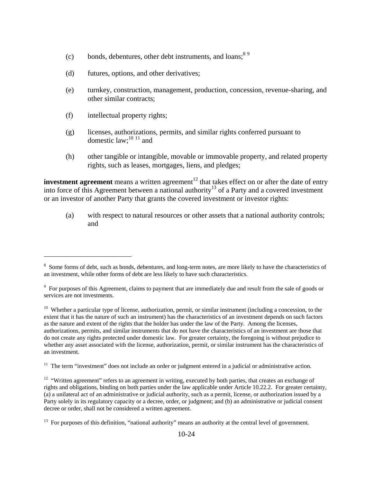- (c) bonds, debentures, other debt instruments, and loans;  $8^9$
- (d) futures, options, and other derivatives;
- (e) turnkey, construction, management, production, concession, revenue-sharing, and other similar contracts;
- (f) intellectual property rights;

 $\overline{a}$ 

- (g) licenses, authorizations, permits, and similar rights conferred pursuant to domestic law;<sup>10 11</sup> and
- (h) other tangible or intangible, movable or immovable property, and related property rights, such as leases, mortgages, liens, and pledges;

**investment agreement** means a written agreement<sup>12</sup> that takes effect on or after the date of entry into force of this Agreement between a national authority<sup>13</sup> of a Party and a covered investment or an investor of another Party that grants the covered investment or investor rights:

(a) with respect to natural resources or other assets that a national authority controls; and

 $11$  The term "investment" does not include an order or judgment entered in a judicial or administrative action.

<sup>&</sup>lt;sup>8</sup> Some forms of debt, such as bonds, debentures, and long-term notes, are more likely to have the characteristics of an investment, while other forms of debt are less likely to have such characteristics.

<sup>&</sup>lt;sup>9</sup> For purposes of this Agreement, claims to payment that are immediately due and result from the sale of goods or services are not investments.

 $10$  Whether a particular type of license, authorization, permit, or similar instrument (including a concession, to the extent that it has the nature of such an instrument) has the characteristics of an investment depends on such factors as the nature and extent of the rights that the holder has under the law of the Party. Among the licenses, authorizations, permits, and similar instruments that do not have the characteristics of an investment are those that do not create any rights protected under domestic law. For greater certainty, the foregoing is without prejudice to whether any asset associated with the license, authorization, permit, or similar instrument has the characteristics of an investment.

<sup>&</sup>lt;sup>12</sup> "Written agreement" refers to an agreement in writing, executed by both parties, that creates an exchange of rights and obligations, binding on both parties under the law applicable under Article 10.22.2. For greater certainty, (a) a unilateral act of an administrative or judicial authority, such as a permit, license, or authorization issued by a Party solely in its regulatory capacity or a decree, order, or judgment; and (b) an administrative or judicial consent decree or order, shall not be considered a written agreement.

 $<sup>13</sup>$  For purposes of this definition, "national authority" means an authority at the central level of government.</sup>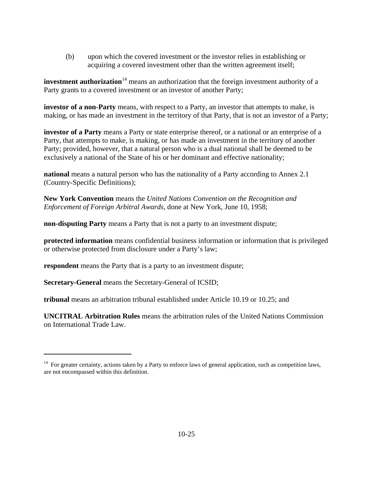(b) upon which the covered investment or the investor relies in establishing or acquiring a covered investment other than the written agreement itself;

**investment authorization**<sup>14</sup> means an authorization that the foreign investment authority of a Party grants to a covered investment or an investor of another Party;

**investor of a non-Party** means, with respect to a Party, an investor that attempts to make, is making, or has made an investment in the territory of that Party, that is not an investor of a Party;

**investor of a Party** means a Party or state enterprise thereof, or a national or an enterprise of a Party, that attempts to make, is making, or has made an investment in the territory of another Party; provided, however, that a natural person who is a dual national shall be deemed to be exclusively a national of the State of his or her dominant and effective nationality;

**national** means a natural person who has the nationality of a Party according to Annex 2.1 (Country-Specific Definitions);

**New York Convention** means the *United Nations Convention on the Recognition and Enforcement of Foreign Arbitral Awards,* done at New York, June 10, 1958;

**non-disputing Party** means a Party that is not a party to an investment dispute;

**protected information** means confidential business information or information that is privileged or otherwise protected from disclosure under a Party's law;

**respondent** means the Party that is a party to an investment dispute;

**Secretary-General** means the Secretary-General of ICSID;

 $\overline{a}$ 

**tribunal** means an arbitration tribunal established under Article 10.19 or 10.25; and

**UNCITRAL Arbitration Rules** means the arbitration rules of the United Nations Commission on International Trade Law.

 $14$  For greater certainty, actions taken by a Party to enforce laws of general application, such as competition laws, are not encompassed within this definition.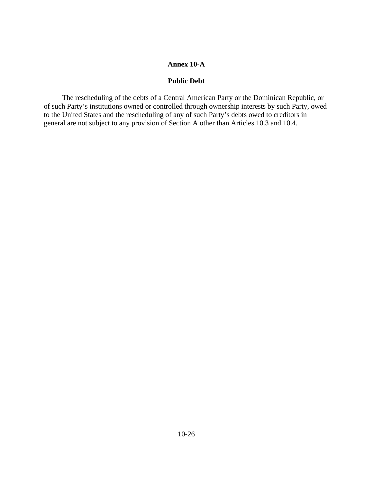#### **Annex 10-A**

#### **Public Debt**

 The rescheduling of the debts of a Central American Party or the Dominican Republic, or of such Party's institutions owned or controlled through ownership interests by such Party, owed to the United States and the rescheduling of any of such Party's debts owed to creditors in general are not subject to any provision of Section A other than Articles 10.3 and 10.4.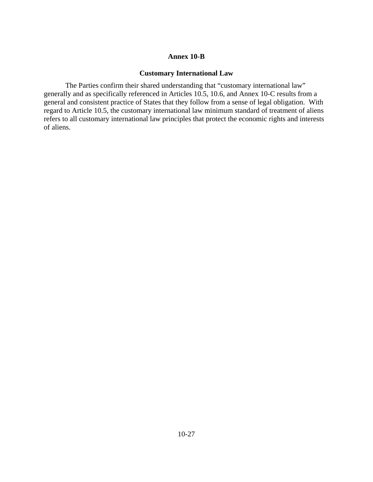#### **Annex 10-B**

#### **Customary International Law**

The Parties confirm their shared understanding that "customary international law" generally and as specifically referenced in Articles 10.5, 10.6, and Annex 10-C results from a general and consistent practice of States that they follow from a sense of legal obligation. With regard to Article 10.5, the customary international law minimum standard of treatment of aliens refers to all customary international law principles that protect the economic rights and interests of aliens.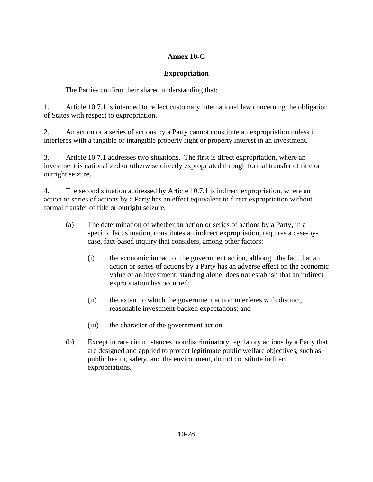# **Annex 10-C**

# **Expropriation**

The Parties confirm their shared understanding that:

1. Article 10.7.1 is intended to reflect customary international law concerning the obligation of States with respect to expropriation.

2. An action or a series of actions by a Party cannot constitute an expropriation unless it interferes with a tangible or intangible property right or property interest in an investment.

3. Article 10.7.1 addresses two situations. The first is direct expropriation, where an investment is nationalized or otherwise directly expropriated through formal transfer of title or outright seizure.

4. The second situation addressed by Article 10.7.1 is indirect expropriation, where an action or series of actions by a Party has an effect equivalent to direct expropriation without formal transfer of title or outright seizure.

- (a) The determination of whether an action or series of actions by a Party, in a specific fact situation, constitutes an indirect expropriation, requires a case-bycase, fact-based inquiry that considers, among other factors:
	- (i) the economic impact of the government action, although the fact that an action or series of actions by a Party has an adverse effect on the economic value of an investment, standing alone, does not establish that an indirect expropriation has occurred;
	- (ii) the extent to which the government action interferes with distinct, reasonable investment-backed expectations; and
	- (iii) the character of the government action.
- (b) Except in rare circumstances, nondiscriminatory regulatory actions by a Party that are designed and applied to protect legitimate public welfare objectives, such as public health, safety, and the environment, do not constitute indirect expropriations.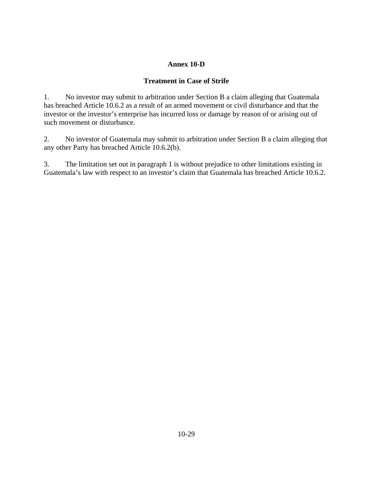## **Annex 10-D**

## **Treatment in Case of Strife**

1. No investor may submit to arbitration under Section B a claim alleging that Guatemala has breached Article 10.6.2 as a result of an armed movement or civil disturbance and that the investor or the investor's enterprise has incurred loss or damage by reason of or arising out of such movement or disturbance.

2. No investor of Guatemala may submit to arbitration under Section B a claim alleging that any other Party has breached Article 10.6.2(b).

3. The limitation set out in paragraph 1 is without prejudice to other limitations existing in Guatemala's law with respect to an investor's claim that Guatemala has breached Article 10.6.2.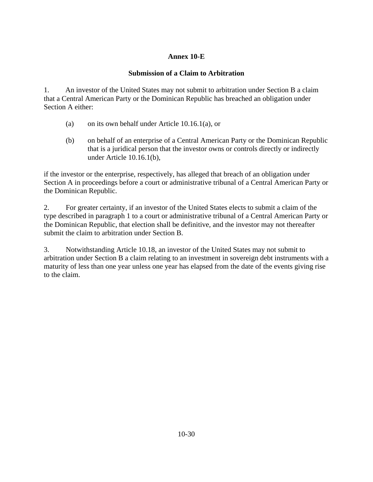# **Annex 10-E**

# **Submission of a Claim to Arbitration**

1. An investor of the United States may not submit to arbitration under Section B a claim that a Central American Party or the Dominican Republic has breached an obligation under Section A either:

- (a) on its own behalf under Article 10.16.1(a), or
- (b) on behalf of an enterprise of a Central American Party or the Dominican Republic that is a juridical person that the investor owns or controls directly or indirectly under Article 10.16.1(b),

if the investor or the enterprise, respectively, has alleged that breach of an obligation under Section A in proceedings before a court or administrative tribunal of a Central American Party or the Dominican Republic.

2. For greater certainty, if an investor of the United States elects to submit a claim of the type described in paragraph 1 to a court or administrative tribunal of a Central American Party or the Dominican Republic, that election shall be definitive, and the investor may not thereafter submit the claim to arbitration under Section B.

3. Notwithstanding Article 10.18, an investor of the United States may not submit to arbitration under Section B a claim relating to an investment in sovereign debt instruments with a maturity of less than one year unless one year has elapsed from the date of the events giving rise to the claim.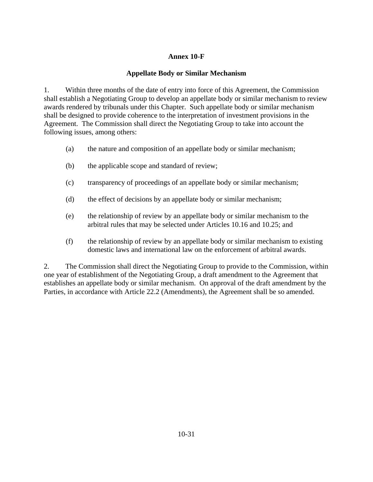# **Annex 10-F**

## **Appellate Body or Similar Mechanism**

1. Within three months of the date of entry into force of this Agreement, the Commission shall establish a Negotiating Group to develop an appellate body or similar mechanism to review awards rendered by tribunals under this Chapter. Such appellate body or similar mechanism shall be designed to provide coherence to the interpretation of investment provisions in the Agreement. The Commission shall direct the Negotiating Group to take into account the following issues, among others:

- (a) the nature and composition of an appellate body or similar mechanism;
- (b) the applicable scope and standard of review;
- (c) transparency of proceedings of an appellate body or similar mechanism;
- (d) the effect of decisions by an appellate body or similar mechanism;
- (e) the relationship of review by an appellate body or similar mechanism to the arbitral rules that may be selected under Articles 10.16 and 10.25; and
- (f) the relationship of review by an appellate body or similar mechanism to existing domestic laws and international law on the enforcement of arbitral awards.

2. The Commission shall direct the Negotiating Group to provide to the Commission, within one year of establishment of the Negotiating Group, a draft amendment to the Agreement that establishes an appellate body or similar mechanism. On approval of the draft amendment by the Parties, in accordance with Article 22.2 (Amendments), the Agreement shall be so amended.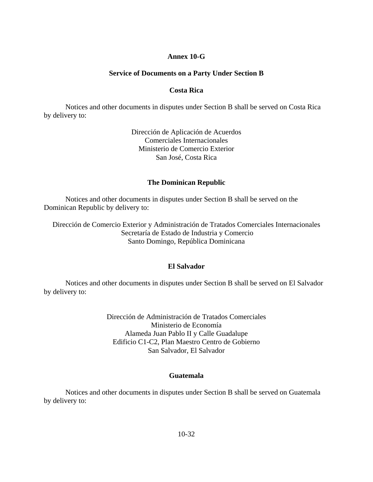#### **Annex 10-G**

#### **Service of Documents on a Party Under Section B**

#### **Costa Rica**

Notices and other documents in disputes under Section B shall be served on Costa Rica by delivery to:

> Dirección de Aplicación de Acuerdos Comerciales Internacionales Ministerio de Comercio Exterior San José, Costa Rica

#### **The Dominican Republic**

Notices and other documents in disputes under Section B shall be served on the Dominican Republic by delivery to:

Dirección de Comercio Exterior y Administración de Tratados Comerciales Internacionales Secretaría de Estado de Industria y Comercio Santo Domingo, República Dominicana

#### **El Salvador**

Notices and other documents in disputes under Section B shall be served on El Salvador by delivery to:

> Dirección de Administración de Tratados Comerciales Ministerio de Economía Alameda Juan Pablo II y Calle Guadalupe Edificio C1-C2, Plan Maestro Centro de Gobierno San Salvador, El Salvador

#### **Guatemala**

Notices and other documents in disputes under Section B shall be served on Guatemala by delivery to: